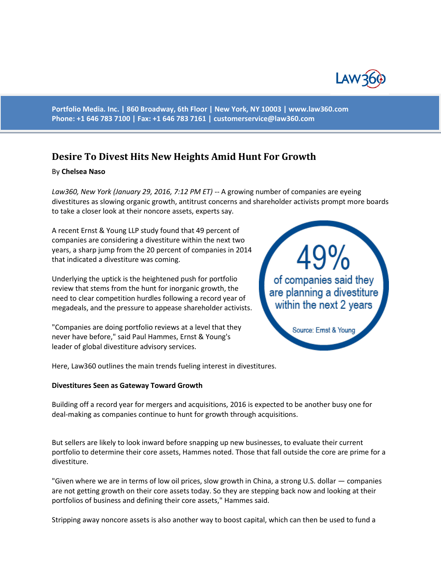

**Portfolio Media. Inc. | 860 Broadway, 6th Floor | New York, NY 10003 | www.law360.com Phone: +1 646 783 7100 | Fax: +1 646 783 7161 | [customerservice@law360.com](mailto:customerservice@law360.com)**

# **Desire To Divest Hits New Heights Amid Hunt For Growth**

# By **Chelsea Naso**

*Law360, New York (January 29, 2016, 7:12 PM ET)* -- A growing number of companies are eyeing divestitures as slowing organic growth, antitrust concerns and shareholder activists prompt more boards to take a closer look at their noncore assets, experts say.

A recent Ernst & Young LLP study found that 49 percent of companies are considering a divestiture within the next two years, a sharp jump from the 20 percent of companies in 2014 that indicated a divestiture was coming.

Underlying the uptick is the heightened push for portfolio review that stems from the hunt for inorganic growth, the need to clear competition hurdles following a record year of megadeals, and the pressure to appease shareholder activists.

"Companies are doing portfolio reviews at a level that they never have before," said Paul Hammes, Ernst & Young's leader of global divestiture advisory services.



Here, Law360 outlines the main trends fueling interest in divestitures.

### **Divestitures Seen as Gateway Toward Growth**

Building off a record year for mergers and acquisitions, 2016 is expected to be another busy one for deal-making as companies continue to hunt for growth through acquisitions.

But sellers are likely to look inward before snapping up new businesses, to evaluate their current portfolio to determine their core assets, Hammes noted. Those that fall outside the core are prime for a divestiture.

"Given where we are in terms of low oil prices, slow growth in China, a strong U.S. dollar — companies are not getting growth on their core assets today. So they are stepping back now and looking at their portfolios of business and defining their core assets," Hammes said.

Stripping away noncore assets is also another way to boost capital, which can then be used to fund a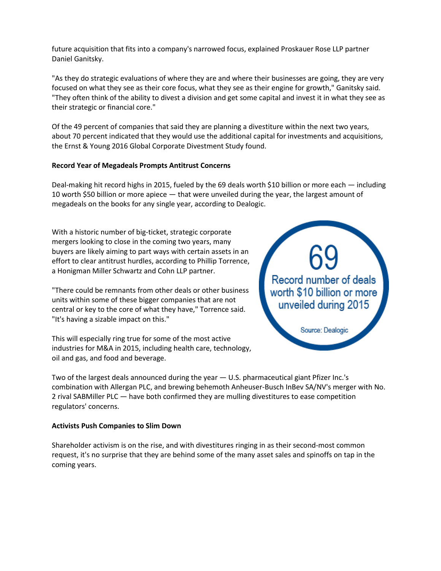future acquisition that fits into a company's narrowed focus, explained Proskauer Rose LLP partner Daniel Ganitsky.

"As they do strategic evaluations of where they are and where their businesses are going, they are very focused on what they see as their core focus, what they see as their engine for growth," Ganitsky said. "They often think of the ability to divest a division and get some capital and invest it in what they see as their strategic or financial core."

Of the 49 percent of companies that said they are planning a divestiture within the next two years, about 70 percent indicated that they would use the additional capital for investments and acquisitions, the Ernst & Young 2016 Global Corporate Divestment Study found.

# **Record Year of Megadeals Prompts Antitrust Concerns**

Deal-making hit record highs in 2015, fueled by the 69 deals worth \$10 billion or more each — including 10 worth \$50 billion or more apiece — that were unveiled during the year, the largest amount of megadeals on the books for any single year, according to Dealogic.

With a historic number of big-ticket, strategic corporate mergers looking to close in the coming two years, many buyers are likely aiming to part ways with certain assets in an effort to clear antitrust hurdles, according to Phillip Torrence, a Honigman Miller Schwartz and Cohn LLP partner.

"There could be remnants from other deals or other business units within some of these bigger companies that are not central or key to the core of what they have," Torrence said. "It's having a sizable impact on this."

This will especially ring true for some of the most active industries for M&A in 2015, including health care, technology, oil and gas, and food and beverage.



Two of the largest deals announced during the year — U.S. pharmaceutical giant Pfizer Inc.'s combination with Allergan PLC, and brewing behemoth Anheuser-Busch InBev SA/NV's merger with No. 2 rival SABMiller PLC — have both confirmed they are mulling divestitures to ease competition regulators' concerns.

### **Activists Push Companies to Slim Down**

Shareholder activism is on the rise, and with divestitures ringing in as their second-most common request, it's no surprise that they are behind some of the many asset sales and spinoffs on tap in the coming years.